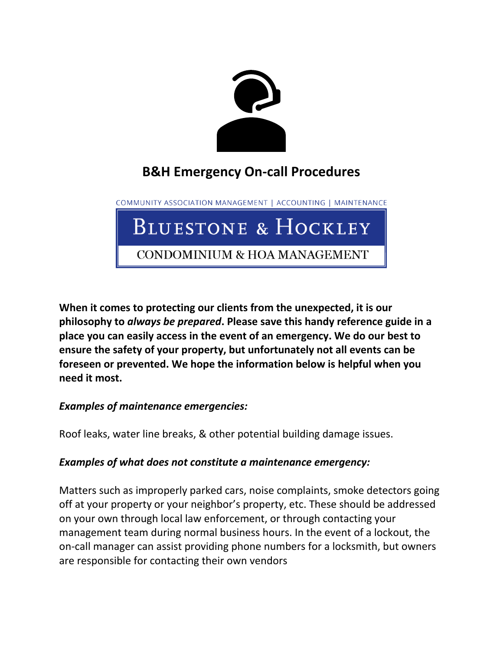

# **B&H Emergency On-call Procedures**

COMMUNITY ASSOCIATION MANAGEMENT | ACCOUNTING | MAINTENANCE

# BLUESTONE & HOCKLEY

CONDOMINIUM & HOA MANAGEMENT

**When it comes to protecting our clients from the unexpected, it is our philosophy to** *always be prepared***. Please save this handy reference guide in a place you can easily access in the event of an emergency. We do our best to ensure the safety of your property, but unfortunately not all events can be foreseen or prevented. We hope the information below is helpful when you need it most.**

# *Examples of maintenance emergencies:*

Roof leaks, water line breaks, & other potential building damage issues.

#### *Examples of what does not constitute a maintenance emergency:*

Matters such as improperly parked cars, noise complaints, smoke detectors going off at your property or your neighbor's property, etc. These should be addressed on your own through local law enforcement, or through contacting your management team during normal business hours. In the event of a lockout, the on-call manager can assist providing phone numbers for a locksmith, but owners are responsible for contacting their own vendors